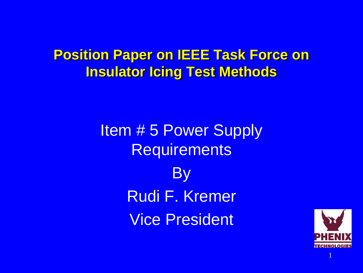#### **Position Paper on IEEE Task Force on Insulator Icing Test Methods**

Item # 5 Power Supply **Requirements By** Rudi F. Kremer Vice President

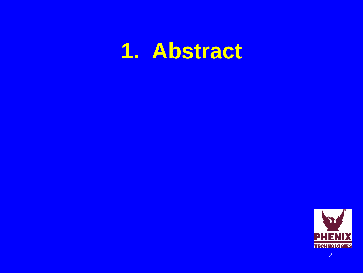#### **1. Abstract**

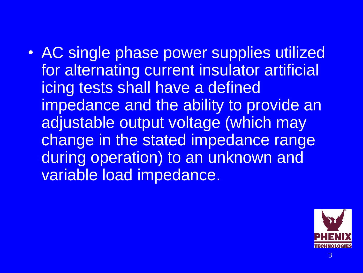• AC single phase power supplies utilized for alternating current insulator artificial icing tests shall have a defined impedance and the ability to provide an adjustable output voltage (which may change in the stated impedance range during operation) to an unknown and variable load impedance.

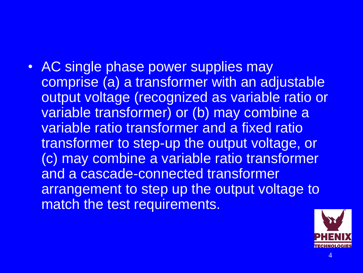AC single phase power supplies may comprise (a) a transformer with an adjustable output voltage (recognized as variable ratio or variable transformer) or (b) may combine a variable ratio transformer and a fixed ratio transformer to step-up the output voltage, or (c) may combine a variable ratio transformer and a cascade-connected transformer arrangement to step up the output voltage to match the test requirements.

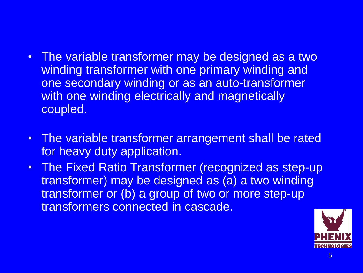- The variable transformer may be designed as a two winding transformer with one primary winding and one secondary winding or as an auto-transformer with one winding electrically and magnetically coupled.
- The variable transformer arrangement shall be rated for heavy duty application.
- The Fixed Ratio Transformer (recognized as step-up transformer) may be designed as (a) a two winding transformer or (b) a group of two or more step-up transformers connected in cascade.

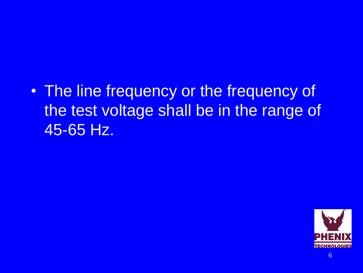• The line frequency or the frequency of the test voltage shall be in the range of 45-65 Hz.

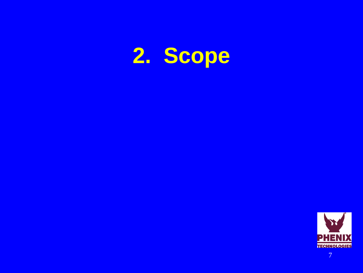# **2. Scope**

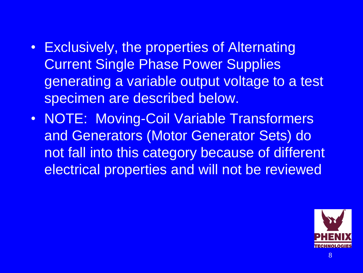- Exclusively, the properties of Alternating Current Single Phase Power Supplies generating a variable output voltage to a test specimen are described below.
- NOTE: Moving-Coil Variable Transformers and Generators (Motor Generator Sets) do not fall into this category because of different electrical properties and will not be reviewed

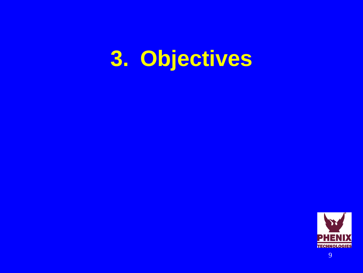### **3. Objectives**



9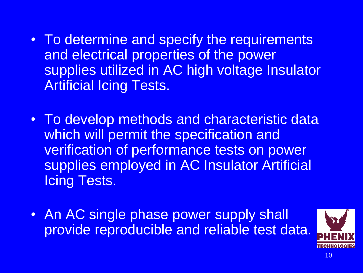- To determine and specify the requirements and electrical properties of the power supplies utilized in AC high voltage Insulator Artificial Icing Tests.
- To develop methods and characteristic data which will permit the specification and verification of performance tests on power supplies employed in AC Insulator Artificial Icing Tests.
- An AC single phase power supply shall provide reproducible and reliable test data.

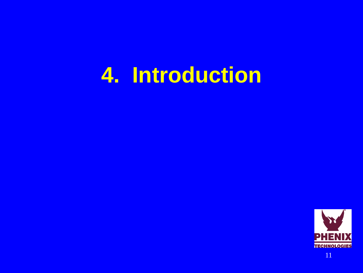#### **4. Introduction**

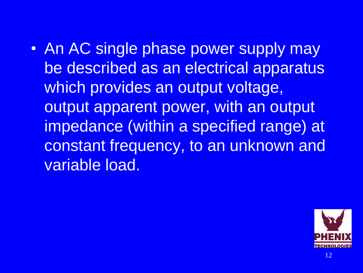• An AC single phase power supply may be described as an electrical apparatus which provides an output voltage, output apparent power, with an output impedance (within a specified range) at constant frequency, to an unknown and variable load.

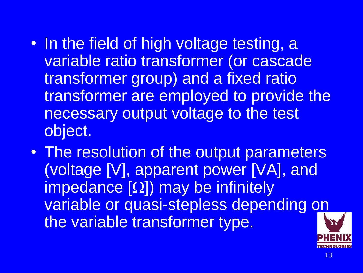- In the field of high voltage testing, a variable ratio transformer (or cascade transformer group) and a fixed ratio transformer are employed to provide the necessary output voltage to the test object.
- The resolution of the output parameters (voltage [V], apparent power [VA], and  $impedance [\Omega]$ ) may be infinitely variable or quasi-stepless depending on the variable transformer type.

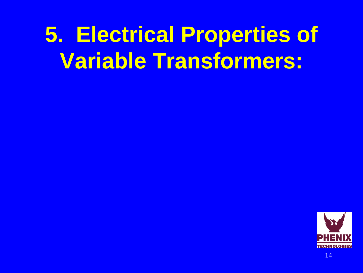## **5. Electrical Properties of Variable Transformers:**

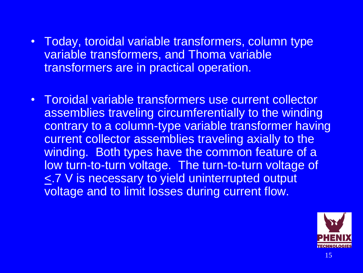- Today, toroidal variable transformers, column type variable transformers, and Thoma variable transformers are in practical operation.
- Toroidal variable transformers use current collector assemblies traveling circumferentially to the winding contrary to a column-type variable transformer having current collector assemblies traveling axially to the winding. Both types have the common feature of a low turn-to-turn voltage. The turn-to-turn voltage of <.7 V is necessary to yield uninterrupted output voltage and to limit losses during current flow.

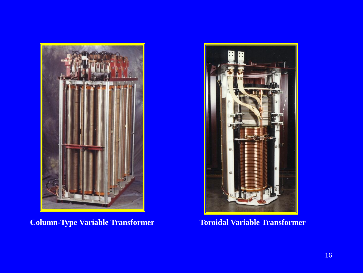

**Column-Type Variable Transformer Toroidal Variable Transformer** 

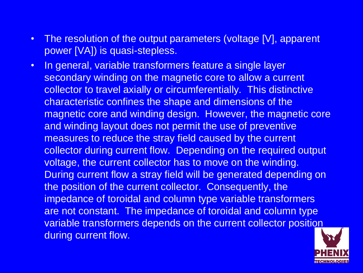- The resolution of the output parameters (voltage [V], apparent power [VA]) is quasi-stepless.
- In general, variable transformers feature a single layer secondary winding on the magnetic core to allow a current collector to travel axially or circumferentially. This distinctive characteristic confines the shape and dimensions of the magnetic core and winding design. However, the magnetic core and winding layout does not permit the use of preventive measures to reduce the stray field caused by the current collector during current flow. Depending on the required output voltage, the current collector has to move on the winding. During current flow a stray field will be generated depending on the position of the current collector. Consequently, the impedance of toroidal and column type variable transformers are not constant. The impedance of toroidal and column type variable transformers depends on the current collector position during current flow.

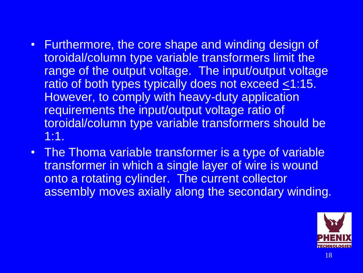- Furthermore, the core shape and winding design of toroidal/column type variable transformers limit the range of the output voltage. The input/output voltage ratio of both types typically does not exceed  $\leq 1:15$ . However, to comply with heavy-duty application requirements the input/output voltage ratio of toroidal/column type variable transformers should be 1:1.
- The Thoma variable transformer is a type of variable transformer in which a single layer of wire is wound onto a rotating cylinder. The current collector assembly moves axially along the secondary winding.

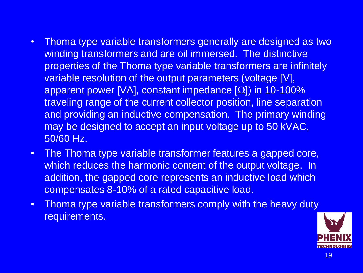- Thoma type variable transformers generally are designed as two winding transformers and are oil immersed. The distinctive properties of the Thoma type variable transformers are infinitely variable resolution of the output parameters (voltage [V], apparent power [VA], constant impedance  $[ $\Omega$ ]$ ) in 10-100% traveling range of the current collector position, line separation and providing an inductive compensation. The primary winding may be designed to accept an input voltage up to 50 kVAC, 50/60 Hz.
- The Thoma type variable transformer features a gapped core, which reduces the harmonic content of the output voltage. In addition, the gapped core represents an inductive load which compensates 8-10% of a rated capacitive load.
- Thoma type variable transformers comply with the heavy duty requirements.

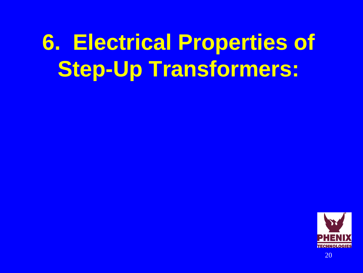## **6. Electrical Properties of Step-Up Transformers:**

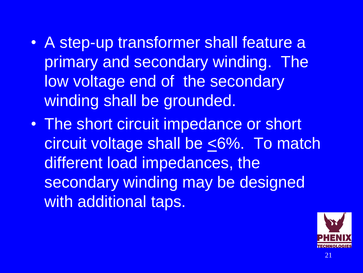- A step-up transformer shall feature a primary and secondary winding. The low voltage end of the secondary winding shall be grounded.
- The short circuit impedance or short circuit voltage shall be <6%. To match different load impedances, the secondary winding may be designed with additional taps.

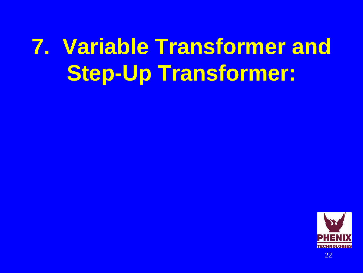# **7. Variable Transformer and Step-Up Transformer:**

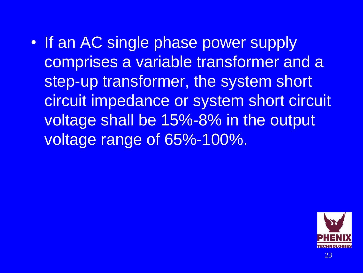• If an AC single phase power supply comprises a variable transformer and a step-up transformer, the system short circuit impedance or system short circuit voltage shall be 15%-8% in the output voltage range of 65%-100%.

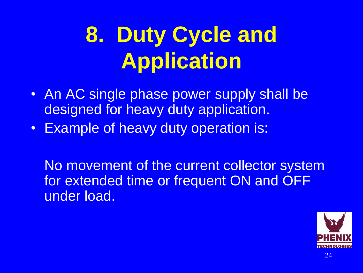# **8. Duty Cycle and Application**

- An AC single phase power supply shall be designed for heavy duty application.
- Example of heavy duty operation is:

No movement of the current collector system for extended time or frequent ON and OFF under load.

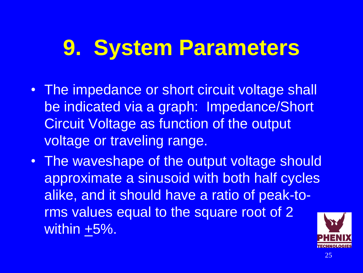#### **9. System Parameters**

- The impedance or short circuit voltage shall be indicated via a graph: Impedance/Short Circuit Voltage as function of the output voltage or traveling range.
- The waveshape of the output voltage should approximate a sinusoid with both half cycles alike, and it should have a ratio of peak-torms values equal to the square root of 2 within +5%.

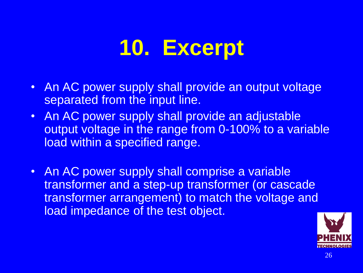#### **10. Excerpt**

- An AC power supply shall provide an output voltage separated from the input line.
- An AC power supply shall provide an adjustable output voltage in the range from 0-100% to a variable load within a specified range.
- An AC power supply shall comprise a variable transformer and a step-up transformer (or cascade transformer arrangement) to match the voltage and load impedance of the test object.

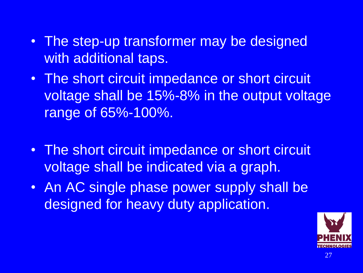- The step-up transformer may be designed with additional taps.
- The short circuit impedance or short circuit voltage shall be 15%-8% in the output voltage range of 65%-100%.
- The short circuit impedance or short circuit voltage shall be indicated via a graph.
- An AC single phase power supply shall be designed for heavy duty application.

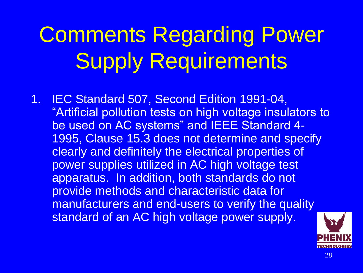# Comments Regarding Power Supply Requirements

1. IEC Standard 507, Second Edition 1991-04, "Artificial pollution tests on high voltage insulators to be used on AC systems" and IEEE Standard 4- 1995, Clause 15.3 does not determine and specify clearly and definitely the electrical properties of power supplies utilized in AC high voltage test apparatus. In addition, both standards do not provide methods and characteristic data for manufacturers and end-users to verify the quality standard of an AC high voltage power supply.

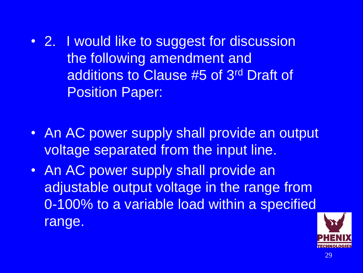- 2. I would like to suggest for discussion the following amendment and additions to Clause #5 of 3rd Draft of Position Paper:
- An AC power supply shall provide an output voltage separated from the input line.
- An AC power supply shall provide an adjustable output voltage in the range from 0-100% to a variable load within a specified range.

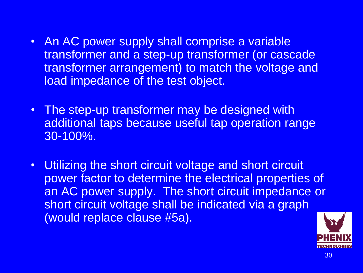- An AC power supply shall comprise a variable transformer and a step-up transformer (or cascade transformer arrangement) to match the voltage and load impedance of the test object.
- The step-up transformer may be designed with additional taps because useful tap operation range 30-100%.
- Utilizing the short circuit voltage and short circuit power factor to determine the electrical properties of an AC power supply. The short circuit impedance or short circuit voltage shall be indicated via a graph (would replace clause #5a).